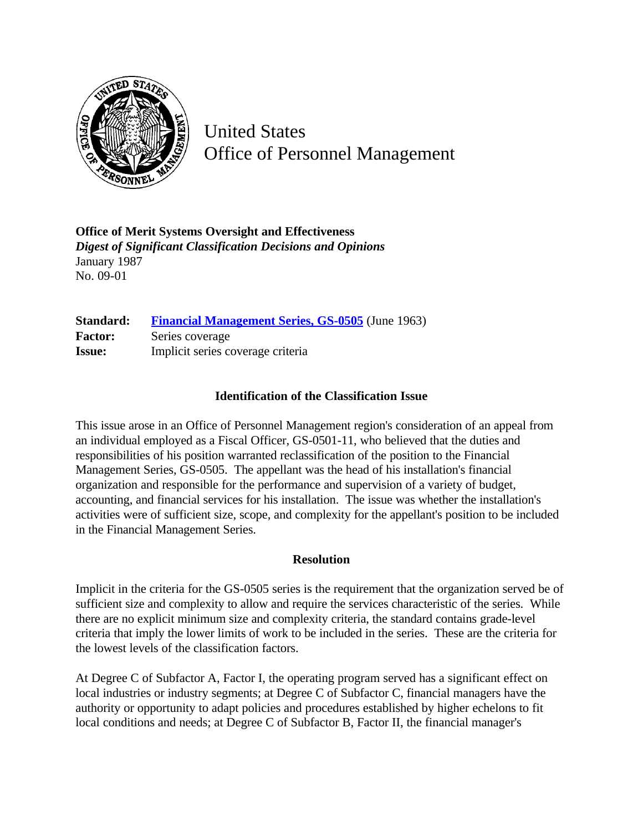

United States Office of Personnel Management

**Office of Merit Systems Oversight and Effectiveness** *Digest of Significant Classification Decisions and Opinions* January 1987 No. 09-01

**Standard: [Financial Management Series, GS-0505](http://www.opm.gov/hr/fedclass/gs0505.pdf)** (June 1963) Factor: Series coverage **Issue:** Implicit series coverage criteria

## **Identification of the Classification Issue**

This issue arose in an Office of Personnel Management region's consideration of an appeal from an individual employed as a Fiscal Officer, GS-0501-11, who believed that the duties and responsibilities of his position warranted reclassification of the position to the Financial Management Series, GS-0505. The appellant was the head of his installation's financial organization and responsible for the performance and supervision of a variety of budget, accounting, and financial services for his installation. The issue was whether the installation's activities were of sufficient size, scope, and complexity for the appellant's position to be included in the Financial Management Series.

## **Resolution**

Implicit in the criteria for the GS-0505 series is the requirement that the organization served be of sufficient size and complexity to allow and require the services characteristic of the series. While there are no explicit minimum size and complexity criteria, the standard contains grade-level criteria that imply the lower limits of work to be included in the series. These are the criteria for the lowest levels of the classification factors.

At Degree C of Subfactor A, Factor I, the operating program served has a significant effect on local industries or industry segments; at Degree C of Subfactor C, financial managers have the authority or opportunity to adapt policies and procedures established by higher echelons to fit local conditions and needs; at Degree C of Subfactor B, Factor II, the financial manager's